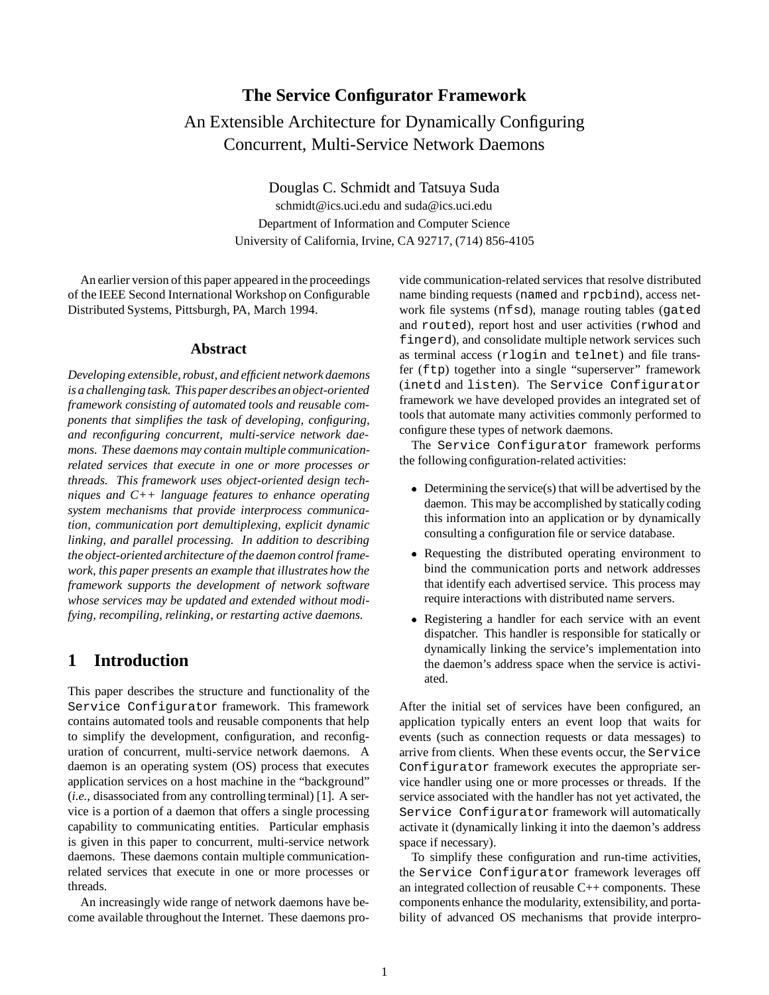# **The Service Configurator Framework** An Extensible Architecture for Dynamically Configuring Concurrent, Multi-Service Network Daemons

Douglas C. Schmidt and Tatsuya Suda schmidt@ics.uci.edu and suda@ics.uci.edu Department of Information and Computer Science University of California, Irvine, CA 92717, (714) 856-4105

An earlier version of this paper appeared in the proceedings of the IEEE Second International Workshop on Configurable Distributed Systems, Pittsburgh, PA, March 1994.

#### **Abstract**

*Developing extensible, robust, and efficient network daemons is a challenging task. This paper describes an object-oriented framework consisting of automated tools and reusable components that simplifies the task of developing, configuring, and reconfiguring concurrent, multi-service network daemons. These daemons may contain multiple communicationrelated services that execute in one or more processes or threads. This framework uses object-oriented design techniques and C++ language features to enhance operating system mechanisms that provide interprocess communication, communication port demultiplexing, explicit dynamic linking, and parallel processing. In addition to describing the object-oriented architecture of the daemon control framework, this paper presents an example that illustrates how the framework supports the development of network software whose services may be updated and extended without modifying, recompiling, relinking, or restarting active daemons.*

# **1 Introduction**

This paper describes the structure and functionality of the Service Configurator framework. This framework contains automated tools and reusable components that help to simplify the development, configuration, and reconfiguration of concurrent, multi-service network daemons. A daemon is an operating system (OS) process that executes application services on a host machine in the "background" (*i.e.,* disassociated from any controlling terminal) [1]. A service is a portion of a daemon that offers a single processing capability to communicating entities. Particular emphasis is given in this paper to concurrent, multi-service network daemons. These daemons contain multiple communicationrelated services that execute in one or more processes or threads.

An increasingly wide range of network daemons have become available throughout the Internet. These daemons pro-

vide communication-related services that resolve distributed name binding requests (named and rpcbind), access network file systems (nfsd), manage routing tables (gated and routed), report host and user activities (rwhod and fingerd), and consolidate multiple network services such as terminal access (rlogin and telnet) and file transfer (ftp) together into a single "superserver" framework (inetd and listen). The Service Configurator framework we have developed provides an integrated set of tools that automate many activities commonly performed to configure these types of network daemons.

The Service Configurator framework performs the following configuration-related activities:

- Determining the service(s) that will be advertised by the daemon. This may be accomplished by statically coding this information into an application or by dynamically consulting a configuration file or service database.
- Requesting the distributed operating environment to bind the communication ports and network addresses that identify each advertised service. This process may require interactions with distributed name servers.
- Registering a handler for each service with an event dispatcher. This handler is responsible for statically or dynamically linking the service's implementation into the daemon's address space when the service is activiated.

After the initial set of services have been configured, an application typically enters an event loop that waits for events (such as connection requests or data messages) to arrive from clients. When these events occur, the Service Configurator framework executes the appropriate service handler using one or more processes or threads. If the service associated with the handler has not yet activated, the Service Configurator framework will automatically activate it (dynamically linking it into the daemon's address space if necessary).

To simplify these configuration and run-time activities, the Service Configurator framework leverages off an integrated collection of reusable C++ components. These components enhance the modularity, extensibility, and portability of advanced OS mechanisms that provide interpro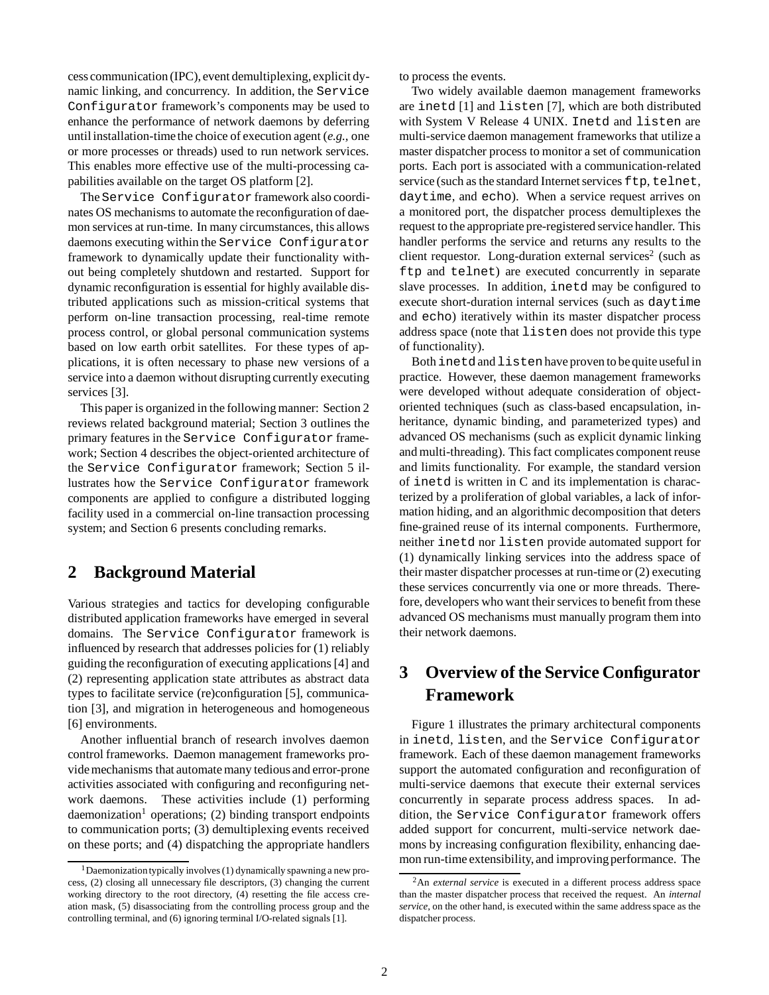cess communication (IPC), event demultiplexing, explicit dynamic linking, and concurrency. In addition, the Service Configurator framework's components may be used to enhance the performance of network daemons by deferring until installation-time the choice of execution agent (*e.g.,* one or more processes or threads) used to run network services. This enables more effective use of the multi-processing capabilities available on the target OS platform [2].

The Service Configurator framework also coordinates OS mechanisms to automate the reconfiguration of daemon services at run-time. In many circumstances, this allows daemons executing within the Service Configurator framework to dynamically update their functionality without being completely shutdown and restarted. Support for dynamic reconfiguration is essential for highly available distributed applications such as mission-critical systems that perform on-line transaction processing, real-time remote process control, or global personal communication systems based on low earth orbit satellites. For these types of applications, it is often necessary to phase new versions of a service into a daemon without disrupting currently executing services [3].

This paper is organized in the following manner: Section 2 reviews related background material; Section 3 outlines the primary features in the Service Configurator framework; Section 4 describes the object-oriented architecture of the Service Configurator framework; Section 5 illustrates how the Service Configurator framework components are applied to configure a distributed logging facility used in a commercial on-line transaction processing system; and Section 6 presents concluding remarks.

# **2 Background Material**

Various strategies and tactics for developing configurable distributed application frameworks have emerged in several domains. The Service Configurator framework is influenced by research that addresses policies for (1) reliably guiding the reconfiguration of executing applications [4] and (2) representing application state attributes as abstract data types to facilitate service (re)configuration [5], communication [3], and migration in heterogeneous and homogeneous [6] environments.

Another influential branch of research involves daemon control frameworks. Daemon management frameworks provide mechanisms that automate many tedious and error-prone activities associated with configuring and reconfiguring network daemons. These activities include (1) performing  $d$ aemonization<sup>1</sup> operations; (2) binding transport endpoints to communication ports; (3) demultiplexing events received on these ports; and (4) dispatching the appropriate handlers

to process the events.

Two widely available daemon management frameworks are inetd [1] and listen [7], which are both distributed with System V Release 4 UNIX. Inetd and listen are multi-service daemon management frameworks that utilize a master dispatcher process to monitor a set of communication ports. Each port is associated with a communication-related service (such as the standard Internet services ftp, telnet, daytime, and echo). When a service request arrives on a monitored port, the dispatcher process demultiplexes the request to the appropriate pre-registered service handler. This handler performs the service and returns any results to the client requestor. Long-duration external services<sup>2</sup> (such as ftp and telnet) are executed concurrently in separate slave processes. In addition, inetd may be configured to execute short-duration internal services (such as daytime and echo) iteratively within its master dispatcher process address space (note that listen does not provide this type of functionality).

Both inetd and listen have proven to be quite useful in practice. However, these daemon management frameworks were developed without adequate consideration of objectoriented techniques (such as class-based encapsulation, inheritance, dynamic binding, and parameterized types) and advanced OS mechanisms (such as explicit dynamic linking and multi-threading). This fact complicates component reuse and limits functionality. For example, the standard version of inetd is written in C and its implementation is characterized by a proliferation of global variables, a lack of information hiding, and an algorithmic decomposition that deters fine-grained reuse of its internal components. Furthermore, neither inetd nor listen provide automated support for (1) dynamically linking services into the address space of their master dispatcher processes at run-time or (2) executing these services concurrently via one or more threads. Therefore, developers who want their services to benefit from these advanced OS mechanisms must manually program them into their network daemons.

# **3 Overview of the Service Configurator Framework**

Figure 1 illustrates the primary architectural components in inetd, listen, and the Service Configurator framework. Each of these daemon management frameworks support the automated configuration and reconfiguration of multi-service daemons that execute their external services concurrently in separate process address spaces. In addition, the Service Configurator framework offers added support for concurrent, multi-service network daemons by increasing configuration flexibility, enhancing daemon run-time extensibility, and improving performance. The

 $1$ Daemonization typically involves (1) dynamically spawning a new process, (2) closing all unnecessary file descriptors, (3) changing the current working directory to the root directory, (4) resetting the file access creation mask, (5) disassociating from the controlling process group and the controlling terminal, and (6) ignoring terminal I/O-related signals [1].

<sup>2</sup>An *external service* is executed in a different process address space than the master dispatcher process that received the request. An *internal service*, on the other hand, is executed within the same address space as the dispatcher process.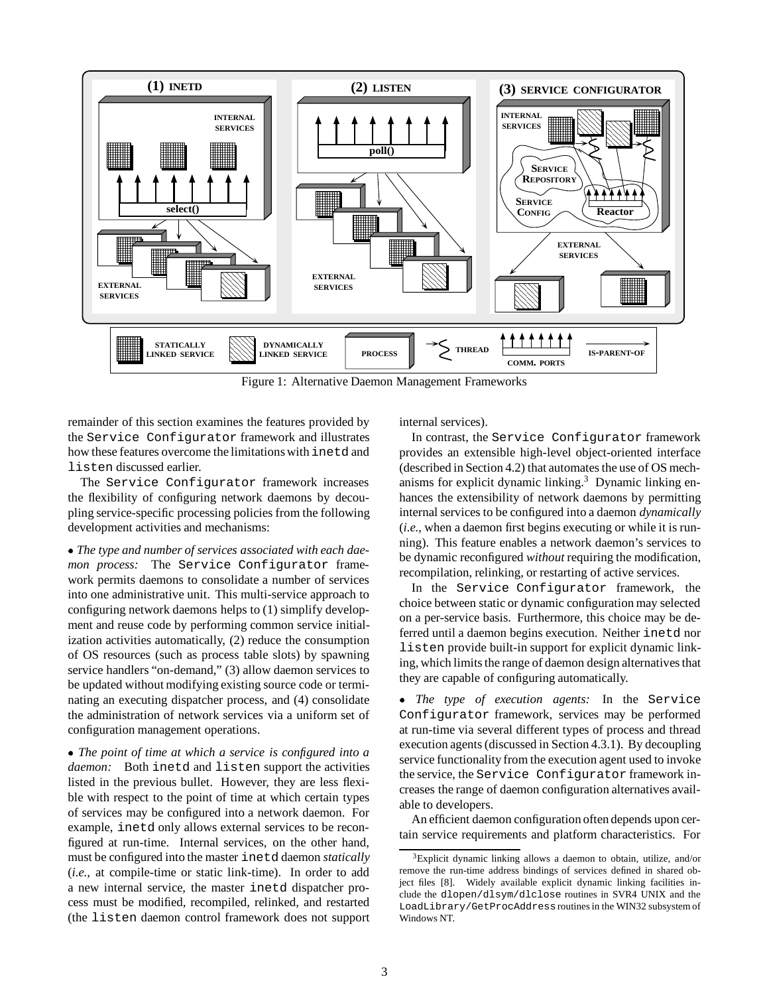

Figure 1: Alternative Daemon Management Frameworks

remainder of this section examines the features provided by the Service Configurator framework and illustrates how these features overcome the limitations with inetd and listen discussed earlier.

The Service Configurator framework increases the flexibility of configuring network daemons by decoupling service-specific processing policies from the following development activities and mechanisms:

 *The type and number of services associated with each daemon process:* The Service Configurator framework permits daemons to consolidate a number of services into one administrative unit. This multi-service approach to configuring network daemons helps to (1) simplify development and reuse code by performing common service initialization activities automatically, (2) reduce the consumption of OS resources (such as process table slots) by spawning service handlers "on-demand," (3) allow daemon services to be updated without modifying existing source code or terminating an executing dispatcher process, and (4) consolidate the administration of network services via a uniform set of configuration management operations.

 *The point of time at which a service is configured into a daemon:* Both inetd and listen support the activities listed in the previous bullet. However, they are less flexible with respect to the point of time at which certain types of services may be configured into a network daemon. For example, inetd only allows external services to be reconfigured at run-time. Internal services, on the other hand, must be configured into the master inetd daemon *statically* (*i.e.,* at compile-time or static link-time). In order to add a new internal service, the master inetd dispatcher process must be modified, recompiled, relinked, and restarted (the listen daemon control framework does not support internal services).

In contrast, the Service Configurator framework provides an extensible high-level object-oriented interface (described in Section 4.2) that automates the use of OS mechanisms for explicit dynamic linking.3 Dynamic linking enhances the extensibility of network daemons by permitting internal services to be configured into a daemon *dynamically* (*i.e.,* when a daemon first begins executing or while it is running). This feature enables a network daemon's services to be dynamic reconfigured *without* requiring the modification, recompilation, relinking, or restarting of active services.

In the Service Configurator framework, the choice between static or dynamic configuration may selected on a per-service basis. Furthermore, this choice may be deferred until a daemon begins execution. Neither inetd nor listen provide built-in support for explicit dynamic linking, which limits the range of daemon design alternatives that they are capable of configuring automatically.

 *The type of execution agents:* In the Service Configurator framework, services may be performed at run-time via several different types of process and thread execution agents (discussed in Section 4.3.1). By decoupling service functionality from the execution agent used to invoke the service, the Service Configurator framework increases the range of daemon configuration alternatives available to developers.

An efficient daemon configuration often depends upon certain service requirements and platform characteristics. For

 $3$ Explicit dynamic linking allows a daemon to obtain, utilize, and/or remove the run-time address bindings of services defined in shared object files [8]. Widely available explicit dynamic linking facilities include the dlopen/dlsym/dlclose routines in SVR4 UNIX and the LoadLibrary/GetProcAddressroutines in the WIN32 subsystem of Windows NT.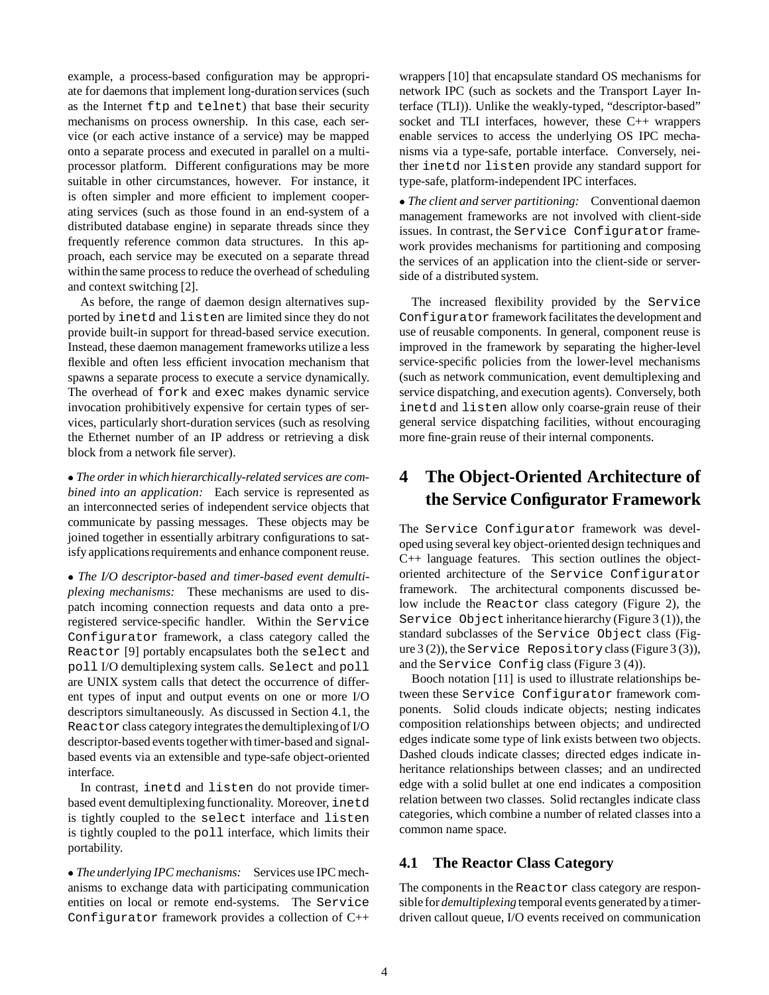example, a process-based configuration may be appropriate for daemons that implement long-duration services (such as the Internet ftp and telnet) that base their security mechanisms on process ownership. In this case, each service (or each active instance of a service) may be mapped onto a separate process and executed in parallel on a multiprocessor platform. Different configurations may be more suitable in other circumstances, however. For instance, it is often simpler and more efficient to implement cooperating services (such as those found in an end-system of a distributed database engine) in separate threads since they frequently reference common data structures. In this approach, each service may be executed on a separate thread within the same process to reduce the overhead of scheduling and context switching [2].

As before, the range of daemon design alternatives supported by inetd and listen are limited since they do not provide built-in support for thread-based service execution. Instead, these daemon management frameworks utilize a less flexible and often less efficient invocation mechanism that spawns a separate process to execute a service dynamically. The overhead of fork and exec makes dynamic service invocation prohibitively expensive for certain types of services, particularly short-duration services (such as resolving the Ethernet number of an IP address or retrieving a disk block from a network file server).

 *The order in which hierarchically-related services are combined into an application:* Each service is represented as an interconnected series of independent service objects that communicate by passing messages. These objects may be joined together in essentially arbitrary configurations to satisfy applications requirements and enhance component reuse.

 *The I/O descriptor-based and timer-based event demultiplexing mechanisms:* These mechanisms are used to dispatch incoming connection requests and data onto a preregistered service-specific handler. Within the Service Configurator framework, a class category called the Reactor [9] portably encapsulates both the select and poll I/O demultiplexing system calls. Select and poll are UNIX system calls that detect the occurrence of different types of input and output events on one or more I/O descriptors simultaneously. As discussed in Section 4.1, the Reactor class category integrates the demultiplexing of I/O descriptor-based events together with timer-based and signalbased events via an extensible and type-safe object-oriented interface.

In contrast, inetd and listen do not provide timerbased event demultiplexing functionality. Moreover, inetd is tightly coupled to the select interface and listen is tightly coupled to the poll interface, which limits their portability.

 *The underlying IPC mechanisms:* Services use IPC mechanisms to exchange data with participating communication entities on local or remote end-systems. The Service Configurator framework provides a collection of C++ wrappers [10] that encapsulate standard OS mechanisms for network IPC (such as sockets and the Transport Layer Interface (TLI)). Unlike the weakly-typed, "descriptor-based" socket and TLI interfaces, however, these C++ wrappers enable services to access the underlying OS IPC mechanisms via a type-safe, portable interface. Conversely, neither inetd nor listen provide any standard support for type-safe, platform-independent IPC interfaces.

 *The client and server partitioning:* Conventional daemon management frameworks are not involved with client-side issues. In contrast, the Service Configurator framework provides mechanisms for partitioning and composing the services of an application into the client-side or serverside of a distributed system.

The increased flexibility provided by the Service Configurator framework facilitates the development and use of reusable components. In general, component reuse is improved in the framework by separating the higher-level service-specific policies from the lower-level mechanisms (such as network communication, event demultiplexing and service dispatching, and execution agents). Conversely, both inetd and listen allow only coarse-grain reuse of their general service dispatching facilities, without encouraging more fine-grain reuse of their internal components.

# **4 The Object-Oriented Architecture of the Service Configurator Framework**

The Service Configurator framework was developed using several key object-oriented design techniques and C++ language features. This section outlines the objectoriented architecture of the Service Configurator framework. The architectural components discussed below include the Reactor class category (Figure 2), the Service Object inheritance hierarchy (Figure  $3(1)$ ), the standard subclasses of the Service Object class (Figure 3 (2)), the Service Repositoryclass (Figure 3 (3)), and the Service Config class (Figure 3 (4)).

Booch notation [11] is used to illustrate relationships between these Service Configurator framework components. Solid clouds indicate objects; nesting indicates composition relationships between objects; and undirected edges indicate some type of link exists between two objects. Dashed clouds indicate classes; directed edges indicate inheritance relationships between classes; and an undirected edge with a solid bullet at one end indicates a composition relation between two classes. Solid rectangles indicate class categories, which combine a number of related classes into a common name space.

## **4.1 The Reactor Class Category**

The components in the Reactor class category are responsible for *demultiplexing* temporal events generated by a timerdriven callout queue, I/O events received on communication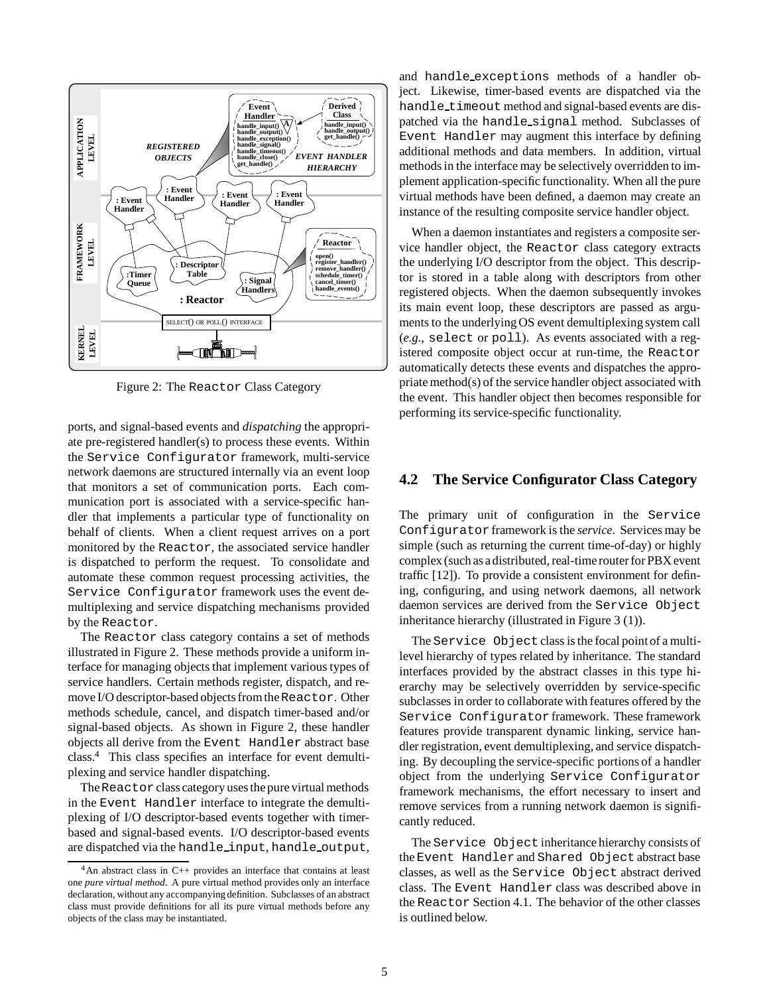

Figure 2: The Reactor Class Category

ports, and signal-based events and *dispatching* the appropriate pre-registered handler(s) to process these events. Within the Service Configurator framework, multi-service network daemons are structured internally via an event loop that monitors a set of communication ports. Each communication port is associated with a service-specific handler that implements a particular type of functionality on behalf of clients. When a client request arrives on a port monitored by the Reactor, the associated service handler is dispatched to perform the request. To consolidate and automate these common request processing activities, the Service Configurator framework uses the event demultiplexing and service dispatching mechanisms provided by the Reactor.

The Reactor class category contains a set of methods illustrated in Figure 2. These methods provide a uniform interface for managing objects that implement various types of service handlers. Certain methods register, dispatch, and remove I/O descriptor-based objects from the Reactor. Other methods schedule, cancel, and dispatch timer-based and/or signal-based objects. As shown in Figure 2, these handler objects all derive from the Event Handler abstract base class.4 This class specifies an interface for event demultiplexing and service handler dispatching.

The Reactor class category uses the pure virtual methods in the Event Handler interface to integrate the demultiplexing of I/O descriptor-based events together with timerbased and signal-based events. I/O descriptor-based events are dispatched via the handle input, handle output,

and handle exceptions methods of a handler object. Likewise, timer-based events are dispatched via the handle\_timeout method and signal-based events are dispatched via the handle signal method. Subclasses of Event Handler may augment this interface by defining additional methods and data members. In addition, virtual methods in the interface may be selectively overridden to implement application-specific functionality. When all the pure virtual methods have been defined, a daemon may create an instance of the resulting composite service handler object.

When a daemon instantiates and registers a composite service handler object, the Reactor class category extracts the underlying I/O descriptor from the object. This descriptor is stored in a table along with descriptors from other registered objects. When the daemon subsequently invokes its main event loop, these descriptors are passed as arguments to the underlying OS event demultiplexing system call (*e.g.,* select or poll). As events associated with a registered composite object occur at run-time, the Reactor automatically detects these events and dispatches the appropriate method(s) of the service handler object associated with the event. This handler object then becomes responsible for performing its service-specific functionality.

## **4.2 The Service Configurator Class Category**

The primary unit of configuration in the Service Configurator framework is the *service*. Services may be simple (such as returning the current time-of-day) or highly complex (such as a distributed, real-time router for PBX event traffic [12]). To provide a consistent environment for defining, configuring, and using network daemons, all network daemon services are derived from the Service Object inheritance hierarchy (illustrated in Figure 3 (1)).

The Service Object class is the focal point of a multilevel hierarchy of types related by inheritance. The standard interfaces provided by the abstract classes in this type hierarchy may be selectively overridden by service-specific subclasses in order to collaborate with features offered by the Service Configurator framework. These framework features provide transparent dynamic linking, service handler registration, event demultiplexing, and service dispatching. By decoupling the service-specific portions of a handler object from the underlying Service Configurator framework mechanisms, the effort necessary to insert and remove services from a running network daemon is significantly reduced.

The Service Object inheritance hierarchy consists of the Event Handler and Shared Object abstract base classes, as well as the Service Object abstract derived class. The Event Handler class was described above in the Reactor Section 4.1. The behavior of the other classes is outlined below.

 $4$ An abstract class in C++ provides an interface that contains at least one *pure virtual method*. A pure virtual method provides only an interface declaration, without any accompanying definition. Subclasses of an abstract class must provide definitions for all its pure virtual methods before any objects of the class may be instantiated.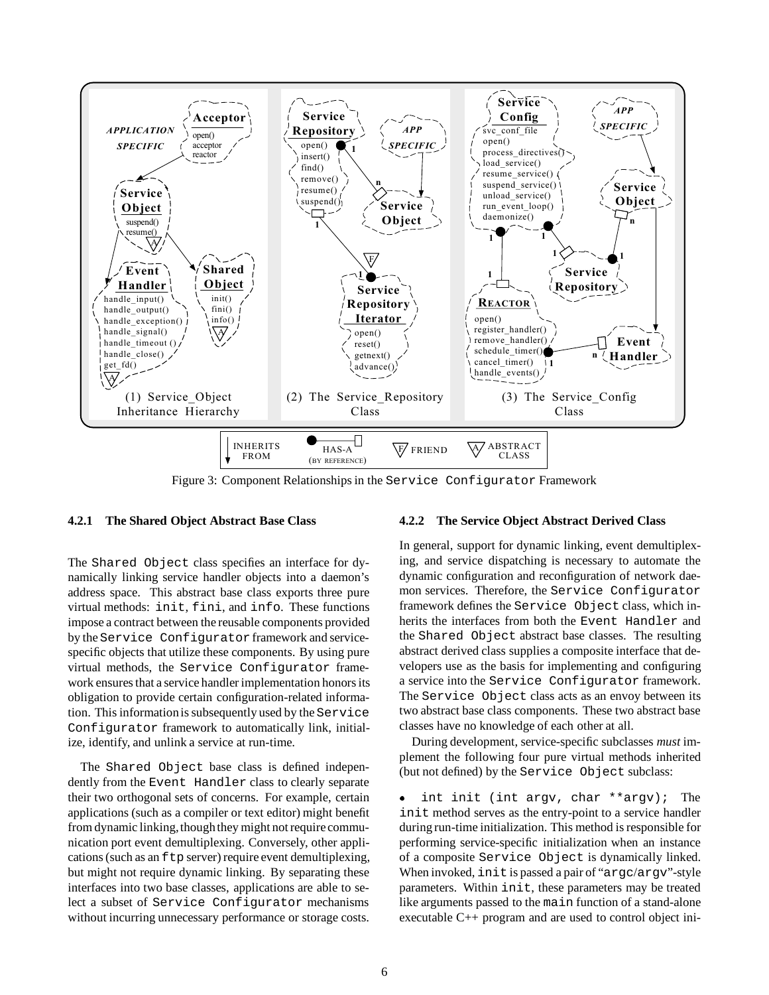

Figure 3: Component Relationships in the Service Configurator Framework

#### **4.2.1 The Shared Object Abstract Base Class**

The Shared Object class specifies an interface for dynamically linking service handler objects into a daemon's address space. This abstract base class exports three pure virtual methods: init, fini, and info. These functions impose a contract between the reusable components provided by the Service Configurator framework and servicespecific objects that utilize these components. By using pure virtual methods, the Service Configurator framework ensures that a service handler implementation honors its obligation to provide certain configuration-related information. This informationis subsequently used by the Service Configurator framework to automatically link, initialize, identify, and unlink a service at run-time.

The Shared Object base class is defined independently from the Event Handler class to clearly separate their two orthogonal sets of concerns. For example, certain applications (such as a compiler or text editor) might benefit from dynamic linking, though they might not require communication port event demultiplexing. Conversely, other applications (such as an  $f$ tp server) require event demultiplexing, but might not require dynamic linking. By separating these interfaces into two base classes, applications are able to select a subset of Service Configurator mechanisms without incurring unnecessary performance or storage costs.

#### **4.2.2 The Service Object Abstract Derived Class**

In general, support for dynamic linking, event demultiplexing, and service dispatching is necessary to automate the dynamic configuration and reconfiguration of network daemon services. Therefore, the Service Configurator framework defines the Service Object class, which inherits the interfaces from both the Event Handler and the Shared Object abstract base classes. The resulting abstract derived class supplies a composite interface that developers use as the basis for implementing and configuring a service into the Service Configurator framework. The Service Object class acts as an envoy between its two abstract base class components. These two abstract base classes have no knowledge of each other at all.

During development, service-specific subclasses *must* implement the following four pure virtual methods inherited (but not defined) by the Service Object subclass:

 int init (int argv, char \*\*argv); The  $\bullet$ init method serves as the entry-point to a service handler during run-time initialization. This method is responsible for performing service-specific initialization when an instance of a composite Service Object is dynamically linked. When invoked, init is passed a pair of "argc/argv"-style parameters. Within init, these parameters may be treated like arguments passed to the main function of a stand-alone executable C++ program and are used to control object ini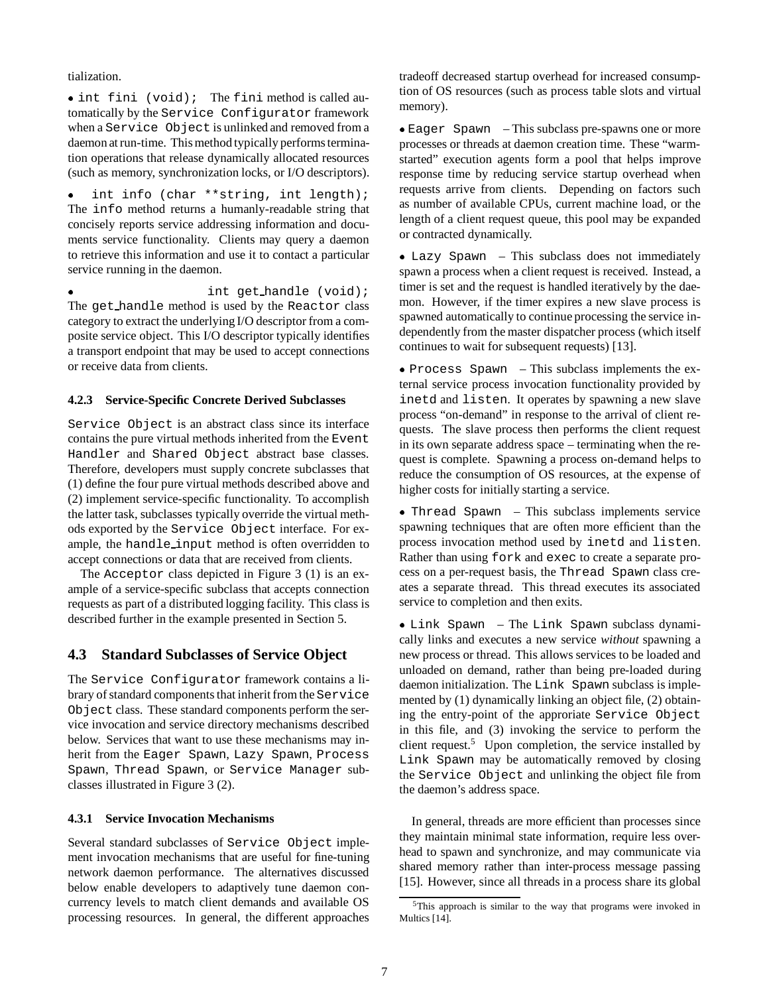tialization.

 int fini (void); The fini method is called automatically by the Service Configurator framework when a Service Object is unlinked and removed from a daemon at run-time. This method typically performs termination operations that release dynamically allocated resources (such as memory, synchronization locks, or I/O descriptors).

 int info (char \*\*string, int length); The info method returns a humanly-readable string that concisely reports service addressing information and documents service functionality. Clients may query a daemon to retrieve this information and use it to contact a particular service running in the daemon.

 int get handle (void); The get handle method is used by the Reactor class category to extract the underlying I/O descriptor from a composite service object. This I/O descriptor typically identifies a transport endpoint that may be used to accept connections or receive data from clients.

#### **4.2.3 Service-Specific Concrete Derived Subclasses**

Service Object is an abstract class since its interface contains the pure virtual methods inherited from the Event Handler and Shared Object abstract base classes. Therefore, developers must supply concrete subclasses that (1) define the four pure virtual methods described above and (2) implement service-specific functionality. To accomplish the latter task, subclasses typically override the virtual methods exported by the Service Object interface. For example, the handle input method is often overridden to accept connections or data that are received from clients.

The Acceptor class depicted in Figure 3 (1) is an example of a service-specific subclass that accepts connection requests as part of a distributed logging facility. This class is described further in the example presented in Section 5.

## **4.3 Standard Subclasses of Service Object**

The Service Configurator framework contains a library of standard components that inherit from the Service Object class. These standard components perform the service invocation and service directory mechanisms described below. Services that want to use these mechanisms may inherit from the Eager Spawn, Lazy Spawn, Process Spawn, Thread Spawn, or Service Manager subclasses illustrated in Figure 3 (2).

#### **4.3.1 Service Invocation Mechanisms**

Several standard subclasses of Service Object implement invocation mechanisms that are useful for fine-tuning network daemon performance. The alternatives discussed below enable developers to adaptively tune daemon concurrency levels to match client demands and available OS processing resources. In general, the different approaches tradeoff decreased startup overhead for increased consumption of OS resources (such as process table slots and virtual memory).

 Eager Spawn – This subclass pre-spawns one or more processes or threads at daemon creation time. These "warmstarted" execution agents form a pool that helps improve response time by reducing service startup overhead when requests arrive from clients. Depending on factors such as number of available CPUs, current machine load, or the length of a client request queue, this pool may be expanded or contracted dynamically.

 Lazy Spawn – This subclass does not immediately spawn a process when a client request is received. Instead, a timer is set and the request is handled iteratively by the daemon. However, if the timer expires a new slave process is spawned automatically to continue processing the service independently from the master dispatcher process (which itself continues to wait for subsequent requests) [13].

 Process Spawn – This subclass implements the external service process invocation functionality provided by inetd and listen. It operates by spawning a new slave process "on-demand" in response to the arrival of client requests. The slave process then performs the client request in its own separate address space – terminating when the request is complete. Spawning a process on-demand helps to reduce the consumption of OS resources, at the expense of higher costs for initially starting a service.

 Thread Spawn – This subclass implements service spawning techniques that are often more efficient than the process invocation method used by inetd and listen. Rather than using fork and exec to create a separate process on a per-request basis, the Thread Spawn class creates a separate thread. This thread executes its associated service to completion and then exits.

 Link Spawn – The Link Spawn subclass dynamically links and executes a new service *without* spawning a new process or thread. This allows services to be loaded and unloaded on demand, rather than being pre-loaded during daemon initialization. The Link Spawn subclass is implemented by (1) dynamically linking an object file, (2) obtaining the entry-point of the approriate Service Object in this file, and (3) invoking the service to perform the client request.<sup>5</sup> Upon completion, the service installed by Link Spawn may be automatically removed by closing the Service Object and unlinking the object file from the daemon's address space.

In general, threads are more efficient than processes since they maintain minimal state information, require less overhead to spawn and synchronize, and may communicate via shared memory rather than inter-process message passing [15]. However, since all threads in a process share its global

<sup>5</sup>This approach is similar to the way that programs were invoked in Multics [14].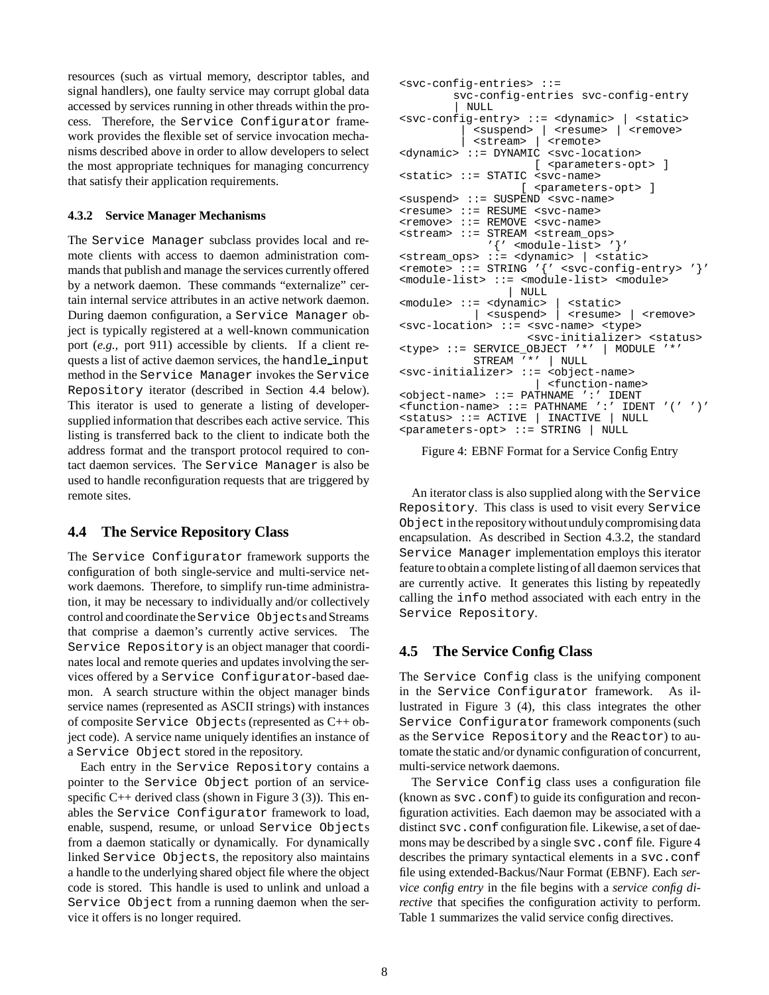resources (such as virtual memory, descriptor tables, and signal handlers), one faulty service may corrupt global data accessed by services running in other threads within the process. Therefore, the Service Configurator framework provides the flexible set of service invocation mechanisms described above in order to allow developers to select the most appropriate techniques for managing concurrency that satisfy their application requirements.

#### **4.3.2 Service Manager Mechanisms**

The Service Manager subclass provides local and remote clients with access to daemon administration commands that publish and manage the services currently offered by a network daemon. These commands "externalize" certain internal service attributes in an active network daemon. During daemon configuration, a Service Manager object is typically registered at a well-known communication port (*e.g.*, port 911) accessible by clients. If a client requests a list of active daemon services, the handle input method in the Service Manager invokes the Service Repository iterator (described in Section 4.4 below). This iterator is used to generate a listing of developersupplied information that describes each active service. This listing is transferred back to the client to indicate both the address format and the transport protocol required to contact daemon services. The Service Manager is also be used to handle reconfiguration requests that are triggered by remote sites.

### **4.4 The Service Repository Class**

The Service Configurator framework supports the configuration of both single-service and multi-service network daemons. Therefore, to simplify run-time administration, it may be necessary to individually and/or collectively control and coordinate the Service Objects and Streams that comprise a daemon's currently active services. The Service Repository is an object manager that coordinates local and remote queries and updates involving the services offered by a Service Configurator-based daemon. A search structure within the object manager binds service names (represented as ASCII strings) with instances of composite Service Objects (represented as C++ object code). A service name uniquely identifies an instance of a Service Object stored in the repository.

Each entry in the Service Repository contains a pointer to the Service Object portion of an servicespecific  $C++$  derived class (shown in Figure 3 (3)). This enables the Service Configurator framework to load, enable, suspend, resume, or unload Service Objects from a daemon statically or dynamically. For dynamically linked Service Objects, the repository also maintains a handle to the underlying shared object file where the object code is stored. This handle is used to unlink and unload a Service Object from a running daemon when the service it offers is no longer required.

```
<svc-config-entries> ::=
        svc-config-entries svc-config-entry
        | NULL
<svc-config-entry> ::= <dynamic> | <static>
          | <suspend> | <resume> | <remove>
          | <stream> | <remote>
<dynamic> ::= DYNAMIC <svc-location>
                    [ <parameters-opt> ]
<static> ::= STATIC <svc-name>
                  [ <parameters-opt> ]
<suspend> ::= SUSPEND <svc-name>
<resume> ::= RESUME <svc-name>
<remove> ::= REMOVE <svc-name>
<stream> ::= STREAM <stream_ops>
             '\' <module-list> '}'
<stream_ops> ::= <dynamic> | <static>
<remote> ::= STRING '{' <svc-config-entry> '}'
<module-list> ::= <module-list> <module>
                | NULL
<module> ::= <dynamic> | <static>
           | <suspend> | <resume> | <remove>
<svc-location> ::= <svc-name> <type>
                   <svc-initializer> <status>
<type> ::= SERVICE_OBJECT '*' | MODULE '*'
           STREAM '*' | NULL
<svc-initializer> ::= <object-name>
                      | <function-name>
<object-name> ::= PATHNAME ':' IDENT
<function-name> ::= PATHNAME ':' IDENT '(' ')'
<status> ::= ACTIVE | INACTIVE | NULL
<parameters-opt> ::= STRING | NULL
```
Figure 4: EBNF Format for a Service Config Entry

An iterator class is also supplied along with the Service Repository. This class is used to visit every Service Objectin the repositorywithout undulycompromising data encapsulation. As described in Section 4.3.2, the standard Service Manager implementation employs this iterator feature to obtain a complete listingof all daemon services that are currently active. It generates this listing by repeatedly calling the info method associated with each entry in the Service Repository.

### **4.5 The Service Config Class**

The Service Config class is the unifying component in the Service Configurator framework. As illustrated in Figure 3 (4), this class integrates the other Service Configurator framework components (such as the Service Repository and the Reactor) to automate the static and/or dynamic configuration of concurrent, multi-service network daemons.

The Service Config class uses a configuration file (known as svc.conf) to guide its configuration and reconfiguration activities. Each daemon may be associated with a distinct svc.conf configuration file. Likewise, a set of daemons may be described by a single svc.conf file. Figure 4 describes the primary syntactical elements in a svc.conf file using extended-Backus/Naur Format (EBNF). Each *service config entry* in the file begins with a *service config directive* that specifies the configuration activity to perform. Table 1 summarizes the valid service config directives.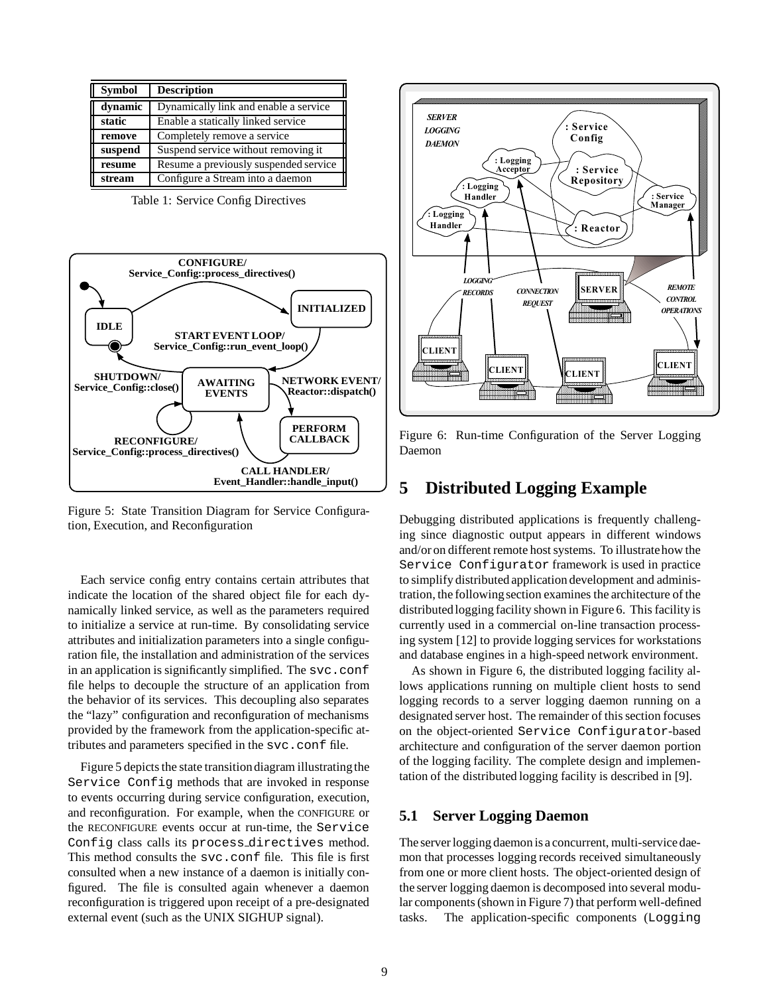| <b>Symbol</b> | <b>Description</b>                    |
|---------------|---------------------------------------|
| dynamic       | Dynamically link and enable a service |
| static        | Enable a statically linked service    |
| remove        | Completely remove a service           |
| suspend       | Suspend service without removing it   |
| resume        | Resume a previously suspended service |
| stream        | Configure a Stream into a daemon      |

Table 1: Service Config Directives



Figure 5: State Transition Diagram for Service Configuration, Execution, and Reconfiguration

Each service config entry contains certain attributes that indicate the location of the shared object file for each dynamically linked service, as well as the parameters required to initialize a service at run-time. By consolidating service attributes and initialization parameters into a single configuration file, the installation and administration of the services in an application is significantly simplified. The svc.conf file helps to decouple the structure of an application from the behavior of its services. This decoupling also separates the "lazy" configuration and reconfiguration of mechanisms provided by the framework from the application-specific attributes and parameters specified in the svc.conf file.

Figure 5 depicts the state transition diagram illustrating the Service Config methods that are invoked in response to events occurring during service configuration, execution, and reconfiguration. For example, when the CONFIGURE or the RECONFIGURE events occur at run-time, the Service Config class calls its process directives method. This method consults the svc.conf file. This file is first consulted when a new instance of a daemon is initially configured. The file is consulted again whenever a daemon reconfiguration is triggered upon receipt of a pre-designated external event (such as the UNIX SIGHUP signal).



Figure 6: Run-time Configuration of the Server Logging Daemon

## **5 Distributed Logging Example**

Debugging distributed applications is frequently challenging since diagnostic output appears in different windows and/or on different remote host systems. To illustratehow the Service Configurator framework is used in practice to simplify distributed application development and administration, the following section examines the architecture of the distributedlogging facility shown in Figure 6. This facility is currently used in a commercial on-line transaction processing system [12] to provide logging services for workstations and database engines in a high-speed network environment.

As shown in Figure 6, the distributed logging facility allows applications running on multiple client hosts to send logging records to a server logging daemon running on a designated server host. The remainder of this section focuses on the object-oriented Service Configurator-based architecture and configuration of the server daemon portion of the logging facility. The complete design and implementation of the distributed logging facility is described in [9].

## **5.1 Server Logging Daemon**

The server logging daemon is a concurrent, multi-service daemon that processes logging records received simultaneously from one or more client hosts. The object-oriented design of the server logging daemon is decomposed into several modular components (shown in Figure 7) that perform well-defined tasks. The application-specific components (Logging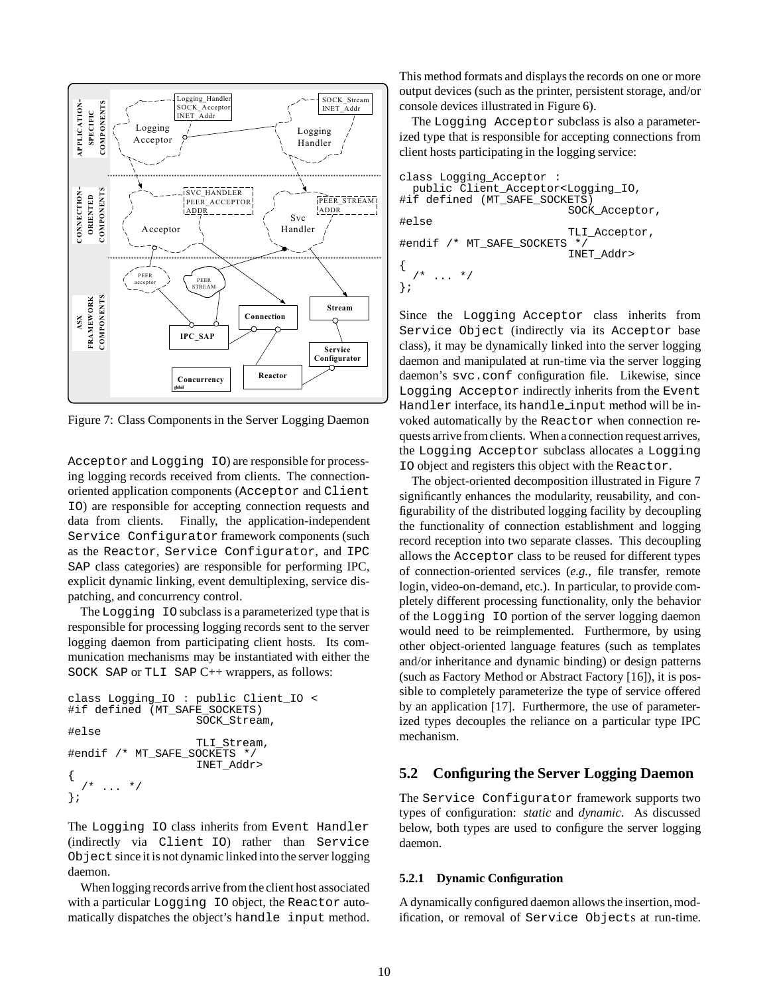

Figure 7: Class Components in the Server Logging Daemon

Acceptor and Logging IO) are responsible for processing logging records received from clients. The connectionoriented application components (Acceptor and Client IO) are responsible for accepting connection requests and data from clients. Finally, the application-independent Service Configurator framework components (such as the Reactor, Service Configurator, and IPC SAP class categories) are responsible for performing IPC, explicit dynamic linking, event demultiplexing, service dispatching, and concurrency control.

The Logging IO subclass is a parameterized type that is responsible for processing logging records sent to the server logging daemon from participating client hosts. Its communication mechanisms may be instantiated with either the SOCK SAP or TLI SAP C++ wrappers, as follows:

```
class Logging_IO : public Client_IO <
#if defined (MT_SAFE_SOCKETS)
                    SOCK_Stream,
#else
                    TLI_Stream,
#endif /* MT_SAFE_SOCKETS */
                    INET_Addr>
{
     \ldots */
};
```
The Logging IO class inherits from Event Handler (indirectly via Client IO) rather than Service Object since it is not dynamic linked into the server logging daemon.

When logging records arrive from the client host associated with a particular Logging IO object, the Reactor automatically dispatches the object's handle input method.

This method formats and displays the records on one or more output devices (such as the printer, persistent storage, and/or console devices illustrated in Figure 6).

The Logging Acceptor subclass is also a parameterized type that is responsible for accepting connections from client hosts participating in the logging service:

```
class Logging_Acceptor :
  public Client_Acceptor<Logging_IO,
#if defined (MT_SAFE_SOCKETS)
                           SOCK_Acceptor,
#else
                           TLI_Acceptor,
#endif /* MT_SAFE_SOCKETS
                           INET_Addr>
{
     \cdots */
};
```
Since the Logging Acceptor class inherits from Service Object (indirectly via its Acceptor base class), it may be dynamically linked into the server logging daemon and manipulated at run-time via the server logging daemon's svc.conf configuration file. Likewise, since Logging Acceptor indirectly inherits from the Event Handler interface, its handle\_input method will be invoked automatically by the Reactor when connection requests arrive from clients. When a connection request arrives, the Logging Acceptor subclass allocates a Logging IO object and registers this object with the Reactor.

The object-oriented decomposition illustrated in Figure 7 significantly enhances the modularity, reusability, and configurability of the distributed logging facility by decoupling the functionality of connection establishment and logging record reception into two separate classes. This decoupling allows the Acceptor class to be reused for different types of connection-oriented services (*e.g.,* file transfer, remote login, video-on-demand, etc.). In particular, to provide completely different processing functionality, only the behavior of the Logging IO portion of the server logging daemon would need to be reimplemented. Furthermore, by using other object-oriented language features (such as templates and/or inheritance and dynamic binding) or design patterns (such as Factory Method or Abstract Factory [16]), it is possible to completely parameterize the type of service offered by an application [17]. Furthermore, the use of parameterized types decouples the reliance on a particular type IPC mechanism.

## **5.2 Configuring the Server Logging Daemon**

The Service Configurator framework supports two types of configuration: *static* and *dynamic*. As discussed below, both types are used to configure the server logging daemon.

#### **5.2.1 Dynamic Configuration**

A dynamically configured daemon allows the insertion, modification, or removal of Service Objects at run-time.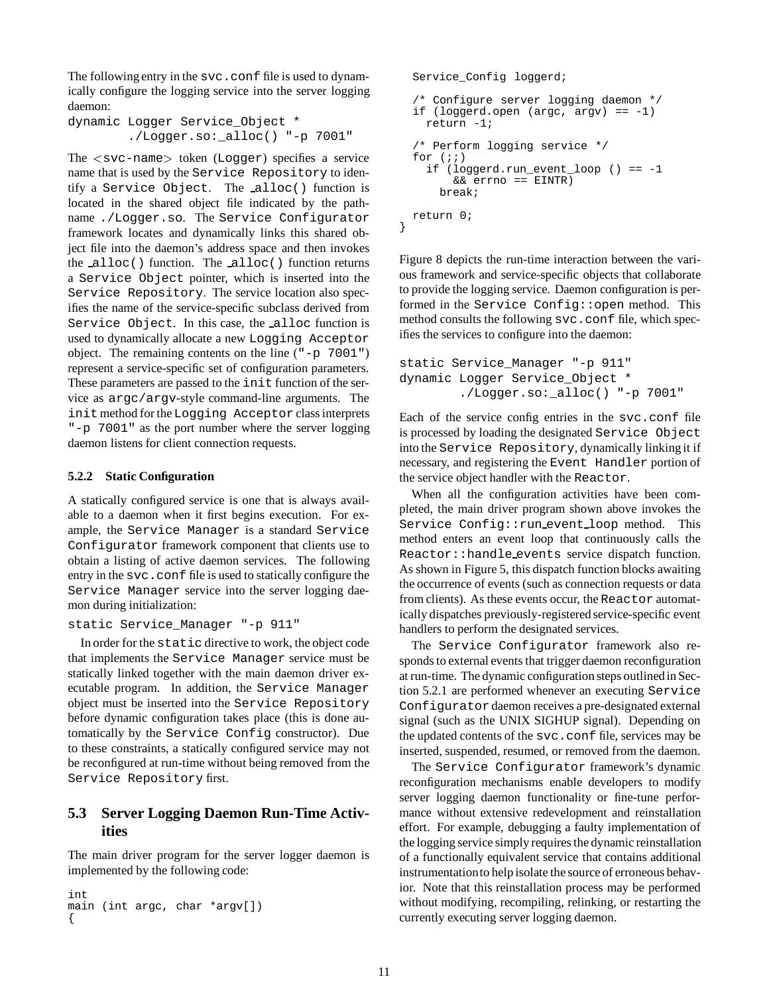The following entry in the svc.conf file is used to dynamically configure the logging service into the server logging daemon:

```
dynamic Logger Service_Object *
        ./Logger.so:_alloc() "-p 7001"
```
The <sup>&</sup>lt;svc-name<sup>&</sup>gt; token (Logger) specifies a service name that is used by the Service Repository to identify a Service Object. The alloc() function is located in the shared object file indicated by the pathname ./Logger.so. The Service Configurator framework locates and dynamically links this shared object file into the daemon's address space and then invokes the alloc() function. The alloc() function returns a Service Object pointer, which is inserted into the Service Repository. The service location also specifies the name of the service-specific subclass derived from Service Object. In this case, the alloc function is used to dynamically allocate a new Logging Acceptor object. The remaining contents on the line ("-p 7001") represent a service-specific set of configuration parameters. These parameters are passed to the init function of the service as argc/argv-style command-line arguments. The init method for the Logging Acceptor class interprets "-p 7001" as the port number where the server logging daemon listens for client connection requests.

## **5.2.2 Static Configuration**

A statically configured service is one that is always available to a daemon when it first begins execution. For example, the Service Manager is a standard Service Configurator framework component that clients use to obtain a listing of active daemon services. The following entry in the svc.conf file is used to statically configure the Service Manager service into the server logging daemon during initialization:

```
static Service_Manager "-p 911"
```
In order for the static directive to work, the object code that implements the Service Manager service must be statically linked together with the main daemon driver executable program. In addition, the Service Manager object must be inserted into the Service Repository before dynamic configuration takes place (this is done automatically by the Service Config constructor). Due to these constraints, a statically configured service may not be reconfigured at run-time without being removed from the Service Repository first.

# **5.3 Server Logging Daemon Run-Time Activities**

The main driver program for the server logger daemon is implemented by the following code:

```
int
main (int argc, char *argv[])
{
```

```
Service_Config loggerd;
  /* Configure server logging daemon */
  if (loggerd.open (arge, argv) == -1)return -1;
  /* Perform logging service */
  for (i; j)if (loggerd.run event loop () == -1&& errno == EINTR)
     break;
  return 0;
}
```
Figure 8 depicts the run-time interaction between the various framework and service-specific objects that collaborate to provide the logging service. Daemon configuration is performed in the Service Config::open method. This method consults the following svc.conf file, which specifies the services to configure into the daemon:

```
static Service_Manager "-p 911"
dynamic Logger Service_Object *
        ./Logger.so:_alloc() "-p 7001"
```
Each of the service config entries in the svc.conf file is processed by loading the designated Service Object into the Service Repository, dynamically linking it if necessary, and registering the Event Handler portion of the service object handler with the Reactor.

When all the configuration activities have been completed, the main driver program shown above invokes the Service Config:: run event loop method. This method enters an event loop that continuously calls the Reactor::handle events service dispatch function. As shown in Figure 5, this dispatch function blocks awaiting the occurrence of events (such as connection requests or data from clients). As these events occur, the Reactor automatically dispatches previously-registered service-specific event handlers to perform the designated services.

The Service Configurator framework also responds to external events that trigger daemon reconfiguration at run-time. The dynamic configuration steps outlinedin Section 5.2.1 are performed whenever an executing Service Configurator daemon receives a pre-designated external signal (such as the UNIX SIGHUP signal). Depending on the updated contents of the svc.conf file, services may be inserted, suspended, resumed, or removed from the daemon.

The Service Configurator framework's dynamic reconfiguration mechanisms enable developers to modify server logging daemon functionality or fine-tune performance without extensive redevelopment and reinstallation effort. For example, debugging a faulty implementation of the logging service simply requires the dynamic reinstallation of a functionally equivalent service that contains additional instrumentationto help isolate the source of erroneous behavior. Note that this reinstallation process may be performed without modifying, recompiling, relinking, or restarting the currently executing server logging daemon.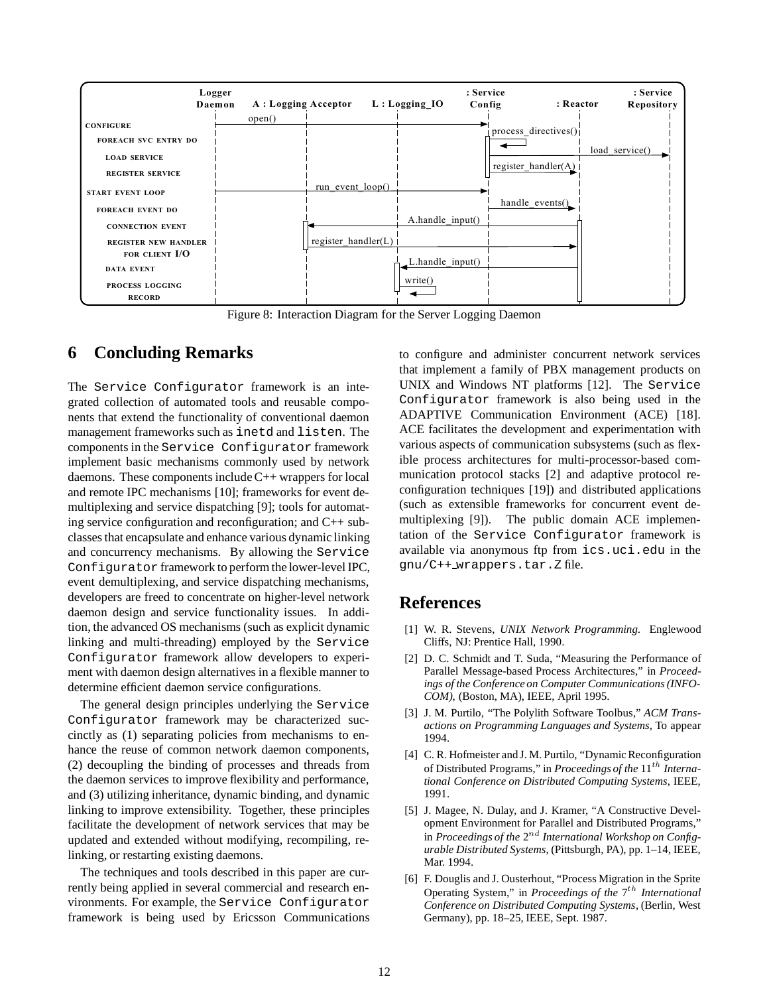

Figure 8: Interaction Diagram for the Server Logging Daemon

# **6 Concluding Remarks**

The Service Configurator framework is an integrated collection of automated tools and reusable components that extend the functionality of conventional daemon management frameworks such as inetd and listen. The components in the Service Configurator framework implement basic mechanisms commonly used by network daemons. These components include C++ wrappers for local and remote IPC mechanisms [10]; frameworks for event demultiplexing and service dispatching [9]; tools for automating service configuration and reconfiguration; and C++ subclasses that encapsulate and enhance various dynamic linking and concurrency mechanisms. By allowing the Service Configurator framework to perform the lower-level IPC, event demultiplexing, and service dispatching mechanisms, developers are freed to concentrate on higher-level network daemon design and service functionality issues. In addition, the advanced OS mechanisms (such as explicit dynamic linking and multi-threading) employed by the Service Configurator framework allow developers to experiment with daemon design alternatives in a flexible manner to determine efficient daemon service configurations.

The general design principles underlying the Service Configurator framework may be characterized succinctly as (1) separating policies from mechanisms to enhance the reuse of common network daemon components, (2) decoupling the binding of processes and threads from the daemon services to improve flexibility and performance, and (3) utilizing inheritance, dynamic binding, and dynamic linking to improve extensibility. Together, these principles facilitate the development of network services that may be updated and extended without modifying, recompiling, relinking, or restarting existing daemons.

The techniques and tools described in this paper are currently being applied in several commercial and research environments. For example, the Service Configurator framework is being used by Ericsson Communications

to configure and administer concurrent network services that implement a family of PBX management products on UNIX and Windows NT platforms [12]. The Service Configurator framework is also being used in the ADAPTIVE Communication Environment (ACE) [18]. ACE facilitates the development and experimentation with various aspects of communication subsystems (such as flexible process architectures for multi-processor-based communication protocol stacks [2] and adaptive protocol reconfiguration techniques [19]) and distributed applications (such as extensible frameworks for concurrent event demultiplexing [9]). The public domain ACE implementation of the Service Configurator framework is available via anonymous ftp from ics.uci.edu in the gnu/C++ wrappers.tar.Z file.

# **References**

- [1] W. R. Stevens, *UNIX Network Programming*. Englewood Cliffs, NJ: Prentice Hall, 1990.
- [2] D. C. Schmidt and T. Suda, "Measuring the Performance of Parallel Message-based Process Architectures," in *Proceedings of the Conference on Computer Communications (INFO-COM)*, (Boston, MA), IEEE, April 1995.
- [3] J. M. Purtilo, "The Polylith Software Toolbus," *ACM Transactions on Programming Languages and Systems*, To appear 1994.
- [4] C. R. Hofmeister and J. M. Purtilo, "Dynamic Reconfiguration of Distributed Programs," in *Proceedings of the*  $11^{th}$  *International Conference on Distributed Computing Systems*, IEEE, 1991.
- [5] J. Magee, N. Dulay, and J. Kramer, "A Constructive Development Environment for Parallel and Distributed Programs," in *Proceedings of the*  $2^{nd}$  *International Workshop on Configurable Distributed Systems*, (Pittsburgh, PA), pp. 1–14, IEEE, Mar. 1994.
- [6] F. Douglis and J. Ousterhout, "Process Migration in the Sprite Operating System," in *Proceedings of the*  $7<sup>th</sup>$  *International Conference on Distributed Computing Systems*, (Berlin, West Germany), pp. 18–25, IEEE, Sept. 1987.